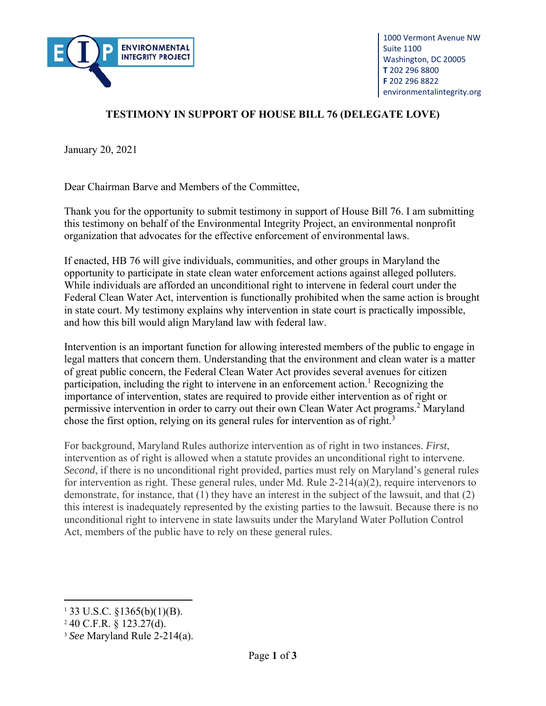

## **TESTIMONY IN SUPPORT OF HOUSE BILL 76 (DELEGATE LOVE)**

January 20, 2021

Dear Chairman Barve and Members of the Committee,

Thank you for the opportunity to submit testimony in support of House Bill 76. I am submitting this testimony on behalf of the Environmental Integrity Project, an environmental nonprofit organization that advocates for the effective enforcement of environmental laws.

If enacted, HB 76 will give individuals, communities, and other groups in Maryland the opportunity to participate in state clean water enforcement actions against alleged polluters. While individuals are afforded an unconditional right to intervene in federal court under the Federal Clean Water Act, intervention is functionally prohibited when the same action is brought in state court. My testimony explains why intervention in state court is practically impossible, and how this bill would align Maryland law with federal law.

Intervention is an important function for allowing interested members of the public to engage in legal matters that concern them. Understanding that the environment and clean water is a matter of great public concern, the Federal Clean Water Act provides several avenues for citizen participation, including the right to intervene in an enforcement action.<sup>1</sup> Recognizing the importance of intervention, states are required to provide either intervention as of right or permissive intervention in order to carry out their own Clean Water Act programs.<sup>2</sup> Maryland chose the first option, relying on its general rules for intervention as of right.<sup>3</sup>

For background, Maryland Rules authorize intervention as of right in two instances. *First*, intervention as of right is allowed when a statute provides an unconditional right to intervene. *Second*, if there is no unconditional right provided, parties must rely on Maryland's general rules for intervention as right. These general rules, under Md. Rule  $2-214(a)(2)$ , require intervenors to demonstrate, for instance, that (1) they have an interest in the subject of the lawsuit, and that (2) this interest is inadequately represented by the existing parties to the lawsuit. Because there is no unconditional right to intervene in state lawsuits under the Maryland Water Pollution Control Act, members of the public have to rely on these general rules.

 $1\,33$  U.S.C.  $\S 1365(b)(1)(B)$ .

<sup>2</sup> 40 C.F.R. § 123.27(d).

<sup>3</sup> *See* Maryland Rule 2-214(a).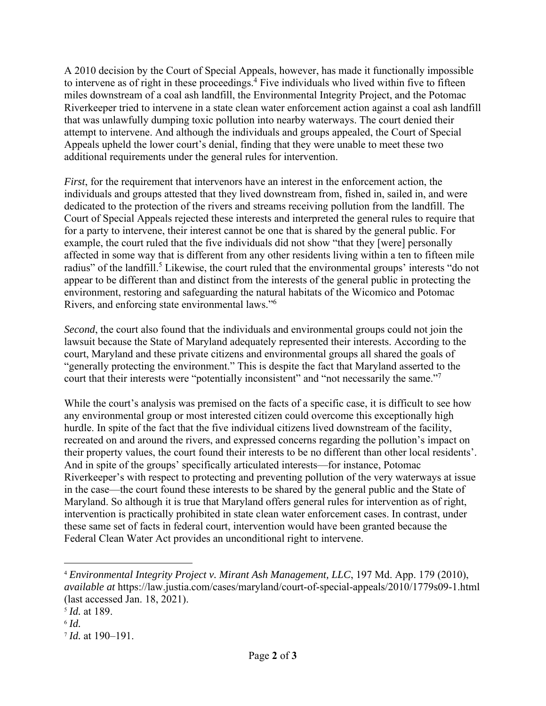A 2010 decision by the Court of Special Appeals, however, has made it functionally impossible to intervene as of right in these proceedings.<sup>4</sup> Five individuals who lived within five to fifteen miles downstream of a coal ash landfill, the Environmental Integrity Project, and the Potomac Riverkeeper tried to intervene in a state clean water enforcement action against a coal ash landfill that was unlawfully dumping toxic pollution into nearby waterways. The court denied their attempt to intervene. And although the individuals and groups appealed, the Court of Special Appeals upheld the lower court's denial, finding that they were unable to meet these two additional requirements under the general rules for intervention.

*First*, for the requirement that intervenors have an interest in the enforcement action, the individuals and groups attested that they lived downstream from, fished in, sailed in, and were dedicated to the protection of the rivers and streams receiving pollution from the landfill. The Court of Special Appeals rejected these interests and interpreted the general rules to require that for a party to intervene, their interest cannot be one that is shared by the general public. For example, the court ruled that the five individuals did not show "that they [were] personally affected in some way that is different from any other residents living within a ten to fifteen mile radius" of the landfill.<sup>5</sup> Likewise, the court ruled that the environmental groups' interests "do not appear to be different than and distinct from the interests of the general public in protecting the environment, restoring and safeguarding the natural habitats of the Wicomico and Potomac Rivers, and enforcing state environmental laws."6

*Second*, the court also found that the individuals and environmental groups could not join the lawsuit because the State of Maryland adequately represented their interests. According to the court, Maryland and these private citizens and environmental groups all shared the goals of "generally protecting the environment." This is despite the fact that Maryland asserted to the court that their interests were "potentially inconsistent" and "not necessarily the same."<sup>7</sup>

While the court's analysis was premised on the facts of a specific case, it is difficult to see how any environmental group or most interested citizen could overcome this exceptionally high hurdle. In spite of the fact that the five individual citizens lived downstream of the facility, recreated on and around the rivers, and expressed concerns regarding the pollution's impact on their property values, the court found their interests to be no different than other local residents'. And in spite of the groups' specifically articulated interests—for instance, Potomac Riverkeeper's with respect to protecting and preventing pollution of the very waterways at issue in the case—the court found these interests to be shared by the general public and the State of Maryland. So although it is true that Maryland offers general rules for intervention as of right, intervention is practically prohibited in state clean water enforcement cases. In contrast, under these same set of facts in federal court, intervention would have been granted because the Federal Clean Water Act provides an unconditional right to intervene.

<sup>4</sup> *Environmental Integrity Project v. Mirant Ash Management, LLC*, 197 Md. App. 179 (2010), *available at* https://law.justia.com/cases/maryland/court-of-special-appeals/2010/1779s09-1.html (last accessed Jan. 18, 2021).

<sup>5</sup> *Id.* at 189.

 $6$   $Id.$ 

<sup>7</sup> *Id.* at 190–191.